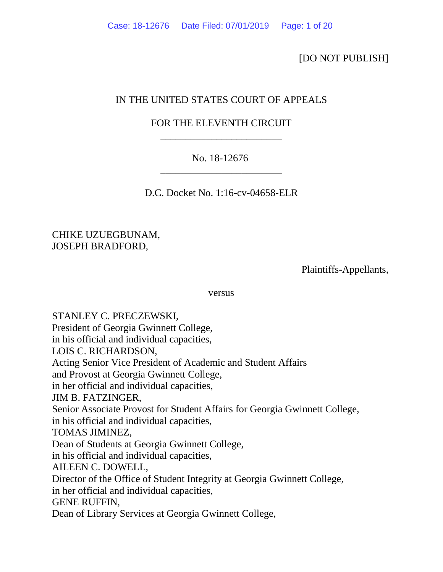## [DO NOT PUBLISH]

# IN THE UNITED STATES COURT OF APPEALS

# FOR THE ELEVENTH CIRCUIT \_\_\_\_\_\_\_\_\_\_\_\_\_\_\_\_\_\_\_\_\_\_\_\_

# No. 18-12676 \_\_\_\_\_\_\_\_\_\_\_\_\_\_\_\_\_\_\_\_\_\_\_\_

D.C. Docket No. 1:16-cv-04658-ELR

CHIKE UZUEGBUNAM, JOSEPH BRADFORD,

Plaintiffs-Appellants,

versus

STANLEY C. PRECZEWSKI, President of Georgia Gwinnett College, in his official and individual capacities, LOIS C. RICHARDSON, Acting Senior Vice President of Academic and Student Affairs and Provost at Georgia Gwinnett College, in her official and individual capacities, JIM B. FATZINGER, Senior Associate Provost for Student Affairs for Georgia Gwinnett College, in his official and individual capacities, TOMAS JIMINEZ, Dean of Students at Georgia Gwinnett College, in his official and individual capacities, AILEEN C. DOWELL, Director of the Office of Student Integrity at Georgia Gwinnett College, in her official and individual capacities, GENE RUFFIN, Dean of Library Services at Georgia Gwinnett College,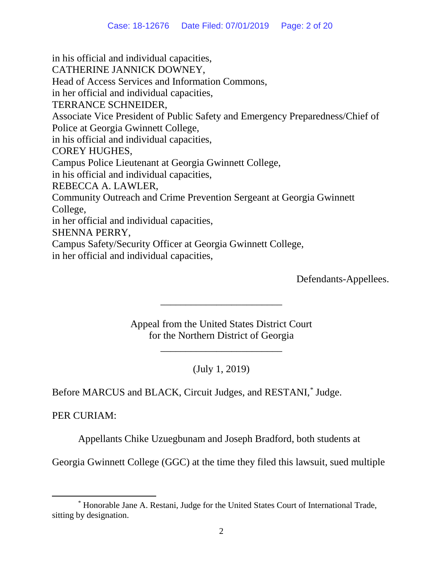in his official and individual capacities, CATHERINE JANNICK DOWNEY, Head of Access Services and Information Commons, in her official and individual capacities, TERRANCE SCHNEIDER, Associate Vice President of Public Safety and Emergency Preparedness/Chief of Police at Georgia Gwinnett College, in his official and individual capacities, COREY HUGHES, Campus Police Lieutenant at Georgia Gwinnett College, in his official and individual capacities, REBECCA A. LAWLER, Community Outreach and Crime Prevention Sergeant at Georgia Gwinnett College, in her official and individual capacities, SHENNA PERRY, Campus Safety/Security Officer at Georgia Gwinnett College, in her official and individual capacities,

Defendants-Appellees.

Appeal from the United States District Court for the Northern District of Georgia

\_\_\_\_\_\_\_\_\_\_\_\_\_\_\_\_\_\_\_\_\_\_\_\_

\_\_\_\_\_\_\_\_\_\_\_\_\_\_\_\_\_\_\_\_\_\_\_\_

(July 1, 2019)

Before MARCUS and BLACK, Circuit Judges, and RESTANI, [\\*](#page-1-0) Judge.

PER CURIAM:

Appellants Chike Uzuegbunam and Joseph Bradford, both students at

Georgia Gwinnett College (GGC) at the time they filed this lawsuit, sued multiple

<span id="page-1-0"></span> <sup>\*</sup> Honorable Jane A. Restani, Judge for the United States Court of International Trade, sitting by designation.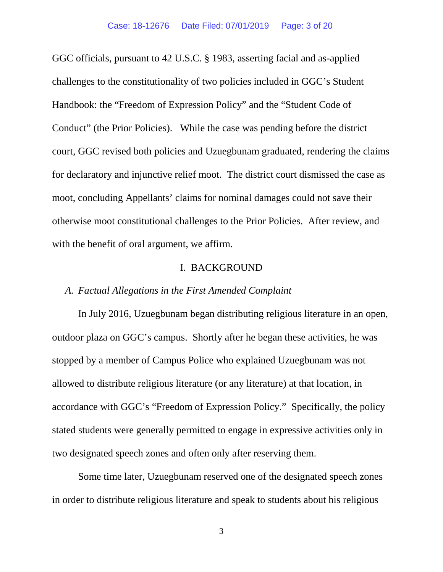GGC officials, pursuant to 42 U.S.C. § 1983, asserting facial and as-applied challenges to the constitutionality of two policies included in GGC's Student Handbook: the "Freedom of Expression Policy" and the "Student Code of Conduct" (the Prior Policies). While the case was pending before the district court, GGC revised both policies and Uzuegbunam graduated, rendering the claims for declaratory and injunctive relief moot. The district court dismissed the case as moot, concluding Appellants' claims for nominal damages could not save their otherwise moot constitutional challenges to the Prior Policies. After review, and with the benefit of oral argument, we affirm.

## I. BACKGROUND

### *A. Factual Allegations in the First Amended Complaint*

In July 2016, Uzuegbunam began distributing religious literature in an open, outdoor plaza on GGC's campus. Shortly after he began these activities, he was stopped by a member of Campus Police who explained Uzuegbunam was not allowed to distribute religious literature (or any literature) at that location, in accordance with GGC's "Freedom of Expression Policy." Specifically, the policy stated students were generally permitted to engage in expressive activities only in two designated speech zones and often only after reserving them.

Some time later, Uzuegbunam reserved one of the designated speech zones in order to distribute religious literature and speak to students about his religious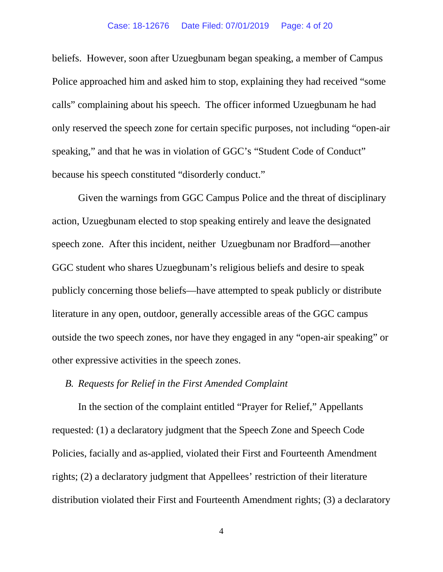#### Case: 18-12676 Date Filed: 07/01/2019 Page: 4 of 20

beliefs. However, soon after Uzuegbunam began speaking, a member of Campus Police approached him and asked him to stop, explaining they had received "some calls" complaining about his speech. The officer informed Uzuegbunam he had only reserved the speech zone for certain specific purposes, not including "open-air speaking," and that he was in violation of GGC's "Student Code of Conduct" because his speech constituted "disorderly conduct."

Given the warnings from GGC Campus Police and the threat of disciplinary action, Uzuegbunam elected to stop speaking entirely and leave the designated speech zone. After this incident, neither Uzuegbunam nor Bradford—another GGC student who shares Uzuegbunam's religious beliefs and desire to speak publicly concerning those beliefs—have attempted to speak publicly or distribute literature in any open, outdoor, generally accessible areas of the GGC campus outside the two speech zones, nor have they engaged in any "open-air speaking" or other expressive activities in the speech zones.

### *B. Requests for Relief in the First Amended Complaint*

In the section of the complaint entitled "Prayer for Relief," Appellants requested: (1) a declaratory judgment that the Speech Zone and Speech Code Policies, facially and as-applied, violated their First and Fourteenth Amendment rights; (2) a declaratory judgment that Appellees' restriction of their literature distribution violated their First and Fourteenth Amendment rights; (3) a declaratory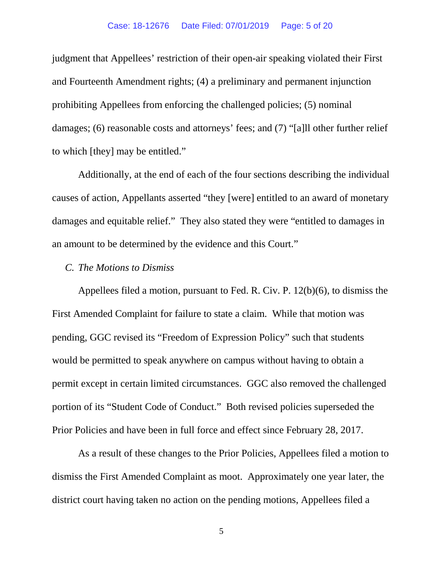judgment that Appellees' restriction of their open-air speaking violated their First and Fourteenth Amendment rights; (4) a preliminary and permanent injunction prohibiting Appellees from enforcing the challenged policies; (5) nominal damages; (6) reasonable costs and attorneys' fees; and (7) "[a]ll other further relief to which [they] may be entitled."

Additionally, at the end of each of the four sections describing the individual causes of action, Appellants asserted "they [were] entitled to an award of monetary damages and equitable relief." They also stated they were "entitled to damages in an amount to be determined by the evidence and this Court."

## *C. The Motions to Dismiss*

Appellees filed a motion, pursuant to Fed. R. Civ. P. 12(b)(6), to dismiss the First Amended Complaint for failure to state a claim. While that motion was pending, GGC revised its "Freedom of Expression Policy" such that students would be permitted to speak anywhere on campus without having to obtain a permit except in certain limited circumstances. GGC also removed the challenged portion of its "Student Code of Conduct."Both revised policies superseded the Prior Policies and have been in full force and effect since February 28, 2017.

As a result of these changes to the Prior Policies, Appellees filed a motion to dismiss the First Amended Complaint as moot. Approximately one year later, the district court having taken no action on the pending motions, Appellees filed a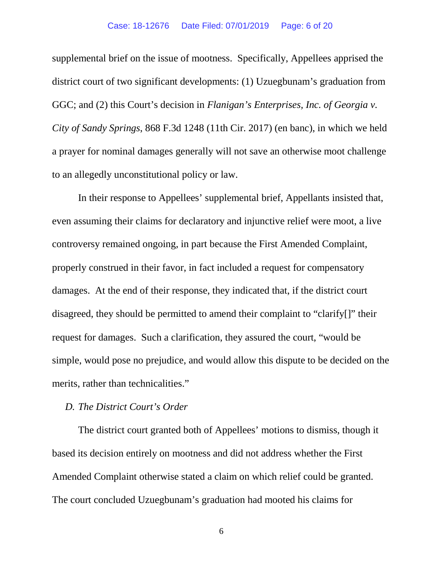#### Case: 18-12676 Date Filed: 07/01/2019 Page: 6 of 20

supplemental brief on the issue of mootness. Specifically, Appellees apprised the district court of two significant developments: (1) Uzuegbunam's graduation from GGC; and (2) this Court's decision in *Flanigan's Enterprises, Inc. of Georgia v. City of Sandy Springs*, 868 F.3d 1248 (11th Cir. 2017) (en banc), in which we held a prayer for nominal damages generally will not save an otherwise moot challenge to an allegedly unconstitutional policy or law.

In their response to Appellees' supplemental brief, Appellants insisted that, even assuming their claims for declaratory and injunctive relief were moot, a live controversy remained ongoing, in part because the First Amended Complaint, properly construed in their favor, in fact included a request for compensatory damages. At the end of their response, they indicated that, if the district court disagreed, they should be permitted to amend their complaint to "clarify[]" their request for damages. Such a clarification, they assured the court, "would be simple, would pose no prejudice, and would allow this dispute to be decided on the merits, rather than technicalities."

## *D. The District Court's Order*

The district court granted both of Appellees' motions to dismiss, though it based its decision entirely on mootness and did not address whether the First Amended Complaint otherwise stated a claim on which relief could be granted. The court concluded Uzuegbunam's graduation had mooted his claims for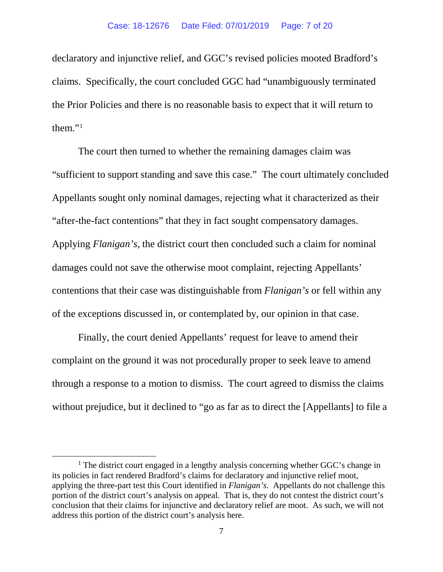declaratory and injunctive relief, and GGC's revised policies mooted Bradford's claims. Specifically, the court concluded GGC had "unambiguously terminated the Prior Policies and there is no reasonable basis to expect that it will return to them. $"^1$  $"^1$ 

The court then turned to whether the remaining damages claim was "sufficient to support standing and save this case." The court ultimately concluded Appellants sought only nominal damages, rejecting what it characterized as their "after-the-fact contentions" that they in fact sought compensatory damages. Applying *Flanigan's*, the district court then concluded such a claim for nominal damages could not save the otherwise moot complaint, rejecting Appellants' contentions that their case was distinguishable from *Flanigan's* or fell within any of the exceptions discussed in, or contemplated by, our opinion in that case.

Finally, the court denied Appellants' request for leave to amend their complaint on the ground it was not procedurally proper to seek leave to amend through a response to a motion to dismiss. The court agreed to dismiss the claims without prejudice, but it declined to "go as far as to direct the [Appellants] to file a

<span id="page-6-0"></span> $<sup>1</sup>$  The district court engaged in a lengthy analysis concerning whether GGC's change in</sup> its policies in fact rendered Bradford's claims for declaratory and injunctive relief moot, applying the three-part test this Court identified in *Flanigan's*. Appellants do not challenge this portion of the district court's analysis on appeal. That is, they do not contest the district court's conclusion that their claims for injunctive and declaratory relief are moot. As such, we will not address this portion of the district court's analysis here.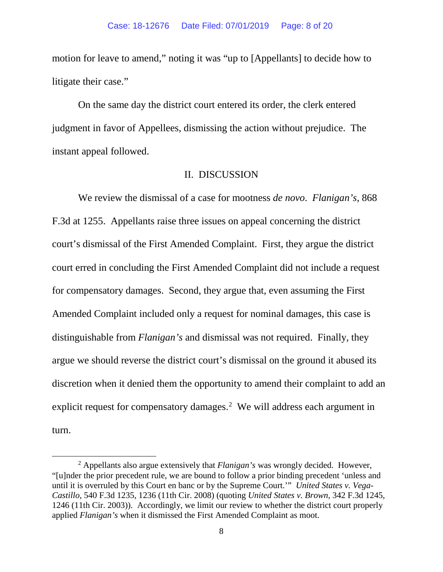motion for leave to amend," noting it was "up to [Appellants] to decide how to litigate their case."

On the same day the district court entered its order, the clerk entered judgment in favor of Appellees, dismissing the action without prejudice. The instant appeal followed.

### II. DISCUSSION

We review the dismissal of a case for mootness *de novo*. *Flanigan's*, 868 F.3d at 1255. Appellants raise three issues on appeal concerning the district court's dismissal of the First Amended Complaint. First, they argue the district court erred in concluding the First Amended Complaint did not include a request for compensatory damages. Second, they argue that, even assuming the First Amended Complaint included only a request for nominal damages, this case is distinguishable from *Flanigan's* and dismissal was not required. Finally, they argue we should reverse the district court's dismissal on the ground it abused its discretion when it denied them the opportunity to amend their complaint to add an explicit request for compensatory damages. $<sup>2</sup>$  $<sup>2</sup>$  $<sup>2</sup>$  We will address each argument in</sup> turn.

<span id="page-7-0"></span> <sup>2</sup> Appellants also argue extensively that *Flanigan's* was wrongly decided. However, "[u]nder the prior precedent rule, we are bound to follow a prior binding precedent 'unless and until it is overruled by this Court en banc or by the Supreme Court.'" *United States v. Vega-Castillo*, 540 F.3d 1235, 1236 (11th Cir. 2008) (quoting *United States v. Brown*, 342 F.3d 1245, 1246 (11th Cir. 2003)). Accordingly, we limit our review to whether the district court properly applied *Flanigan's* when it dismissed the First Amended Complaint as moot.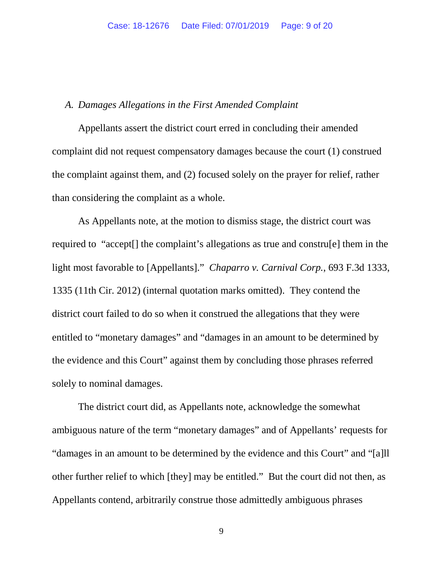### *A. Damages Allegations in the First Amended Complaint*

Appellants assert the district court erred in concluding their amended complaint did not request compensatory damages because the court (1) construed the complaint against them, and (2) focused solely on the prayer for relief, rather than considering the complaint as a whole.

As Appellants note, at the motion to dismiss stage, the district court was required to "accept[] the complaint's allegations as true and constru[e] them in the light most favorable to [Appellants]." *Chaparro v. Carnival Corp.*, 693 F.3d 1333, 1335 (11th Cir. 2012) (internal quotation marks omitted). They contend the district court failed to do so when it construed the allegations that they were entitled to "monetary damages" and "damages in an amount to be determined by the evidence and this Court" against them by concluding those phrases referred solely to nominal damages.

The district court did, as Appellants note, acknowledge the somewhat ambiguous nature of the term "monetary damages" and of Appellants' requests for "damages in an amount to be determined by the evidence and this Court" and "[a]ll other further relief to which [they] may be entitled." But the court did not then, as Appellants contend, arbitrarily construe those admittedly ambiguous phrases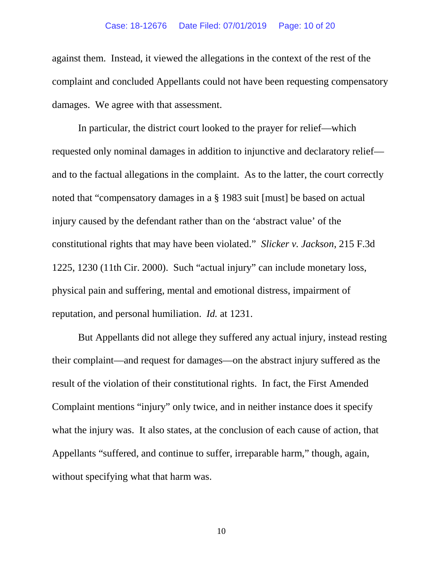against them. Instead, it viewed the allegations in the context of the rest of the complaint and concluded Appellants could not have been requesting compensatory damages. We agree with that assessment.

In particular, the district court looked to the prayer for relief—which requested only nominal damages in addition to injunctive and declaratory relief and to the factual allegations in the complaint. As to the latter, the court correctly noted that "compensatory damages in a § 1983 suit [must] be based on actual injury caused by the defendant rather than on the 'abstract value' of the constitutional rights that may have been violated." *Slicker v. Jackson*, 215 F.3d 1225, 1230 (11th Cir. 2000). Such "actual injury" can include monetary loss, physical pain and suffering, mental and emotional distress, impairment of reputation, and personal humiliation. *Id.* at 1231.

But Appellants did not allege they suffered any actual injury, instead resting their complaint—and request for damages—on the abstract injury suffered as the result of the violation of their constitutional rights. In fact, the First Amended Complaint mentions "injury" only twice, and in neither instance does it specify what the injury was. It also states, at the conclusion of each cause of action, that Appellants "suffered, and continue to suffer, irreparable harm," though, again, without specifying what that harm was.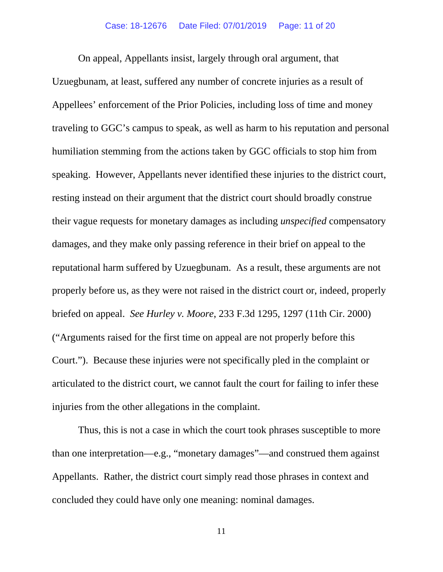On appeal, Appellants insist, largely through oral argument, that Uzuegbunam, at least, suffered any number of concrete injuries as a result of Appellees' enforcement of the Prior Policies, including loss of time and money traveling to GGC's campus to speak, as well as harm to his reputation and personal humiliation stemming from the actions taken by GGC officials to stop him from speaking. However, Appellants never identified these injuries to the district court, resting instead on their argument that the district court should broadly construe their vague requests for monetary damages as including *unspecified* compensatory damages, and they make only passing reference in their brief on appeal to the reputational harm suffered by Uzuegbunam. As a result, these arguments are not properly before us, as they were not raised in the district court or, indeed, properly briefed on appeal. *See Hurley v. Moore*, 233 F.3d 1295, 1297 (11th Cir. 2000) ("Arguments raised for the first time on appeal are not properly before this Court."). Because these injuries were not specifically pled in the complaint or articulated to the district court, we cannot fault the court for failing to infer these injuries from the other allegations in the complaint.

Thus, this is not a case in which the court took phrases susceptible to more than one interpretation—e.g., "monetary damages"—and construed them against Appellants. Rather, the district court simply read those phrases in context and concluded they could have only one meaning: nominal damages.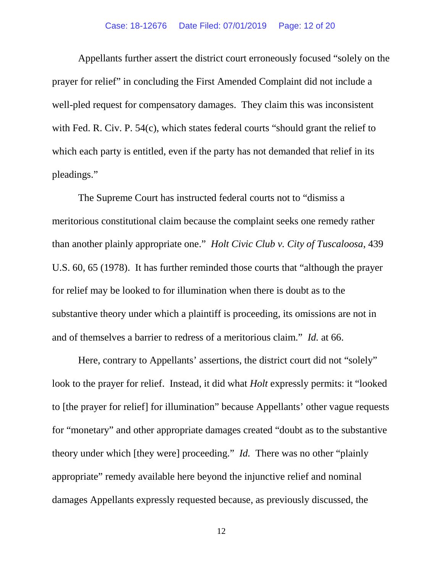#### Case: 18-12676 Date Filed: 07/01/2019 Page: 12 of 20

Appellants further assert the district court erroneously focused "solely on the prayer for relief" in concluding the First Amended Complaint did not include a well-pled request for compensatory damages. They claim this was inconsistent with Fed. R. Civ. P. 54(c), which states federal courts "should grant the relief to which each party is entitled, even if the party has not demanded that relief in its pleadings."

The Supreme Court has instructed federal courts not to "dismiss a meritorious constitutional claim because the complaint seeks one remedy rather than another plainly appropriate one." *Holt Civic Club v. City of Tuscaloosa*, 439 U.S. 60, 65 (1978). It has further reminded those courts that "although the prayer for relief may be looked to for illumination when there is doubt as to the substantive theory under which a plaintiff is proceeding, its omissions are not in and of themselves a barrier to redress of a meritorious claim." *Id.* at 66.

Here, contrary to Appellants' assertions, the district court did not "solely" look to the prayer for relief. Instead, it did what *Holt* expressly permits: it "looked to [the prayer for relief] for illumination" because Appellants' other vague requests for "monetary" and other appropriate damages created "doubt as to the substantive theory under which [they were] proceeding." *Id.* There was no other "plainly appropriate" remedy available here beyond the injunctive relief and nominal damages Appellants expressly requested because, as previously discussed, the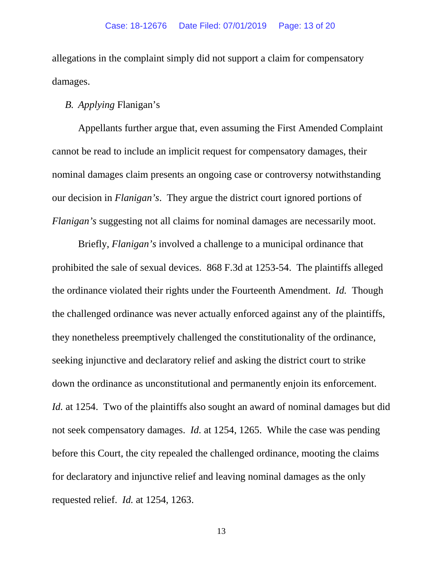allegations in the complaint simply did not support a claim for compensatory damages.

## *B. Applying* Flanigan's

Appellants further argue that, even assuming the First Amended Complaint cannot be read to include an implicit request for compensatory damages, their nominal damages claim presents an ongoing case or controversy notwithstanding our decision in *Flanigan's*. They argue the district court ignored portions of *Flanigan's* suggesting not all claims for nominal damages are necessarily moot.

Briefly, *Flanigan's* involved a challenge to a municipal ordinance that prohibited the sale of sexual devices. 868 F.3d at 1253-54. The plaintiffs alleged the ordinance violated their rights under the Fourteenth Amendment. *Id.* Though the challenged ordinance was never actually enforced against any of the plaintiffs, they nonetheless preemptively challenged the constitutionality of the ordinance, seeking injunctive and declaratory relief and asking the district court to strike down the ordinance as unconstitutional and permanently enjoin its enforcement. *Id.* at 1254. Two of the plaintiffs also sought an award of nominal damages but did not seek compensatory damages. *Id.* at 1254, 1265. While the case was pending before this Court, the city repealed the challenged ordinance, mooting the claims for declaratory and injunctive relief and leaving nominal damages as the only requested relief. *Id.* at 1254, 1263.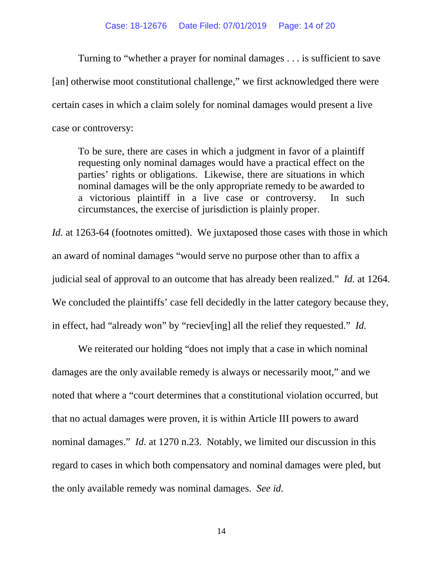#### Case: 18-12676 Date Filed: 07/01/2019 Page: 14 of 20

Turning to "whether a prayer for nominal damages . . . is sufficient to save [an] otherwise moot constitutional challenge," we first acknowledged there were certain cases in which a claim solely for nominal damages would present a live case or controversy:

To be sure, there are cases in which a judgment in favor of a plaintiff requesting only nominal damages would have a practical effect on the parties' rights or obligations. Likewise, there are situations in which nominal damages will be the only appropriate remedy to be awarded to a victorious plaintiff in a live case or controversy. In such circumstances, the exercise of jurisdiction is plainly proper.

*Id.* at 1263-64 (footnotes omitted). We juxtaposed those cases with those in which an award of nominal damages "would serve no purpose other than to affix a judicial seal of approval to an outcome that has already been realized." *Id.* at 1264. We concluded the plaintiffs' case fell decidedly in the latter category because they, in effect, had "already won" by "reciev[ing] all the relief they requested." *Id.*

We reiterated our holding "does not imply that a case in which nominal damages are the only available remedy is always or necessarily moot," and we noted that where a "court determines that a constitutional violation occurred, but that no actual damages were proven, it is within Article III powers to award nominal damages." *Id.* at 1270 n.23. Notably, we limited our discussion in this regard to cases in which both compensatory and nominal damages were pled, but the only available remedy was nominal damages. *See id.*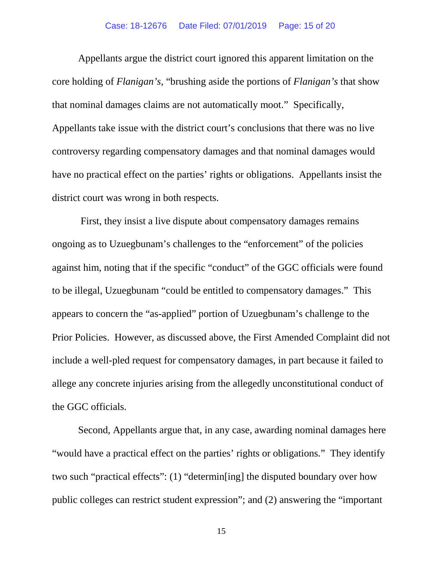#### Case: 18-12676 Date Filed: 07/01/2019 Page: 15 of 20

Appellants argue the district court ignored this apparent limitation on the core holding of *Flanigan's*, "brushing aside the portions of *Flanigan's* that show that nominal damages claims are not automatically moot." Specifically, Appellants take issue with the district court's conclusions that there was no live controversy regarding compensatory damages and that nominal damages would have no practical effect on the parties' rights or obligations. Appellants insist the district court was wrong in both respects.

First, they insist a live dispute about compensatory damages remains ongoing as to Uzuegbunam's challenges to the "enforcement" of the policies against him, noting that if the specific "conduct" of the GGC officials were found to be illegal, Uzuegbunam "could be entitled to compensatory damages." This appears to concern the "as-applied" portion of Uzuegbunam's challenge to the Prior Policies. However, as discussed above, the First Amended Complaint did not include a well-pled request for compensatory damages, in part because it failed to allege any concrete injuries arising from the allegedly unconstitutional conduct of the GGC officials.

Second, Appellants argue that, in any case, awarding nominal damages here "would have a practical effect on the parties' rights or obligations."They identify two such "practical effects": (1) "determin[ing] the disputed boundary over how public colleges can restrict student expression"; and (2) answering the "important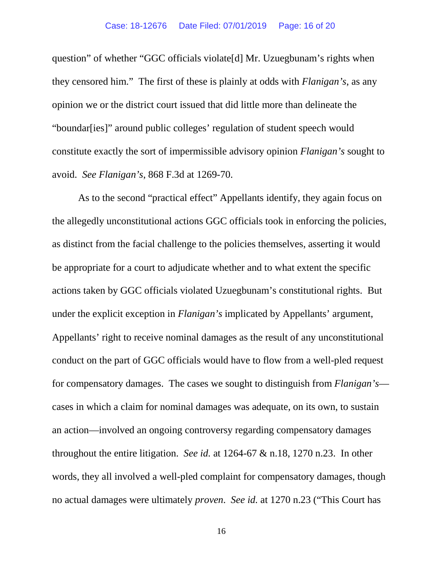question" of whether "GGC officials violate[d] Mr. Uzuegbunam's rights when they censored him." The first of these is plainly at odds with *Flanigan's*, as any opinion we or the district court issued that did little more than delineate the "boundar[ies]" around public colleges' regulation of student speech would constitute exactly the sort of impermissible advisory opinion *Flanigan's* sought to avoid. *See Flanigan's*, 868 F.3d at 1269-70.

As to the second "practical effect" Appellants identify, they again focus on the allegedly unconstitutional actions GGC officials took in enforcing the policies, as distinct from the facial challenge to the policies themselves, asserting it would be appropriate for a court to adjudicate whether and to what extent the specific actions taken by GGC officials violated Uzuegbunam's constitutional rights.But under the explicit exception in *Flanigan's* implicated by Appellants' argument, Appellants' right to receive nominal damages as the result of any unconstitutional conduct on the part of GGC officials would have to flow from a well-pled request for compensatory damages. The cases we sought to distinguish from *Flanigan's* cases in which a claim for nominal damages was adequate, on its own, to sustain an action—involved an ongoing controversy regarding compensatory damages throughout the entire litigation. *See id.* at 1264-67 & n.18, 1270 n.23. In other words, they all involved a well-pled complaint for compensatory damages, though no actual damages were ultimately *proven*. *See id.* at 1270 n.23 ("This Court has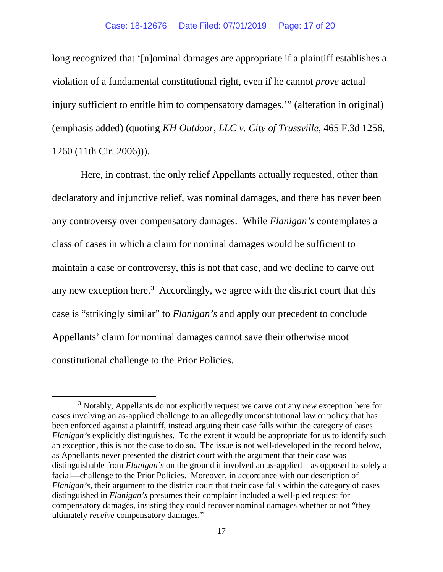long recognized that '[n]ominal damages are appropriate if a plaintiff establishes a violation of a fundamental constitutional right, even if he cannot *prove* actual injury sufficient to entitle him to compensatory damages.'" (alteration in original) (emphasis added) (quoting *KH Outdoor, LLC v. City of Trussville*, 465 F.3d 1256, 1260 (11th Cir. 2006))).

Here, in contrast, the only relief Appellants actually requested, other than declaratory and injunctive relief, was nominal damages, and there has never been any controversy over compensatory damages. While *Flanigan's* contemplates a class of cases in which a claim for nominal damages would be sufficient to maintain a case or controversy, this is not that case, and we decline to carve out any new exception here.<sup>[3](#page-16-0)</sup> Accordingly, we agree with the district court that this case is "strikingly similar" to *Flanigan's* and apply our precedent to conclude Appellants' claim for nominal damages cannot save their otherwise moot constitutional challenge to the Prior Policies.

<span id="page-16-0"></span> <sup>3</sup> Notably, Appellants do not explicitly request we carve out any *new* exception here for cases involving an as-applied challenge to an allegedly unconstitutional law or policy that has been enforced against a plaintiff, instead arguing their case falls within the category of cases *Flanigan's* explicitly distinguishes. To the extent it would be appropriate for us to identify such an exception, this is not the case to do so. The issue is not well-developed in the record below, as Appellants never presented the district court with the argument that their case was distinguishable from *Flanigan's* on the ground it involved an as-applied—as opposed to solely a facial—challenge to the Prior Policies. Moreover, in accordance with our description of *Flanigan's*, their argument to the district court that their case falls within the category of cases distinguished in *Flanigan's* presumes their complaint included a well-pled request for compensatory damages, insisting they could recover nominal damages whether or not "they ultimately *receive* compensatory damages."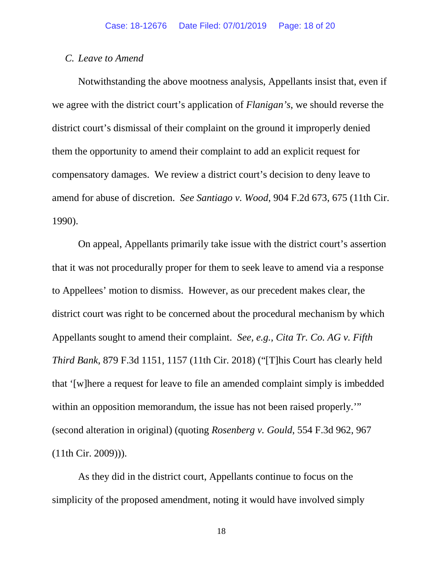### *C. Leave to Amend*

Notwithstanding the above mootness analysis, Appellants insist that, even if we agree with the district court's application of *Flanigan's*, we should reverse the district court's dismissal of their complaint on the ground it improperly denied them the opportunity to amend their complaint to add an explicit request for compensatory damages. We review a district court's decision to deny leave to amend for abuse of discretion. *See Santiago v. Wood*, 904 F.2d 673, 675 (11th Cir. 1990).

On appeal, Appellants primarily take issue with the district court's assertion that it was not procedurally proper for them to seek leave to amend via a response to Appellees' motion to dismiss. However, as our precedent makes clear, the district court was right to be concerned about the procedural mechanism by which Appellants sought to amend their complaint. *See, e.g.*, *Cita Tr. Co. AG v. Fifth Third Bank*, 879 F.3d 1151, 1157 (11th Cir. 2018) ("[T]his Court has clearly held that '[w]here a request for leave to file an amended complaint simply is imbedded within an opposition memorandum, the issue has not been raised properly." (second alteration in original) (quoting *Rosenberg v. Gould*, 554 F.3d 962, 967 (11th Cir. 2009))).

As they did in the district court, Appellants continue to focus on the simplicity of the proposed amendment, noting it would have involved simply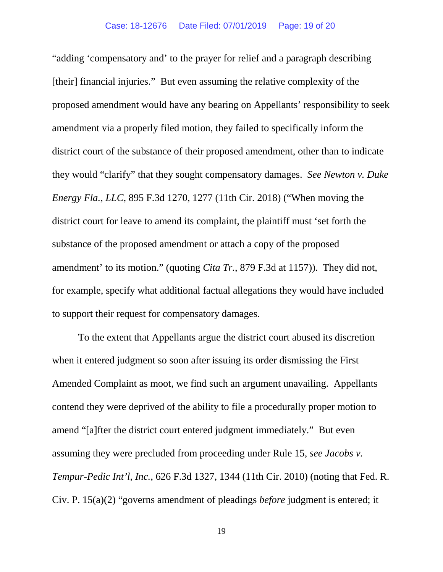"adding 'compensatory and' to the prayer for relief and a paragraph describing [their] financial injuries." But even assuming the relative complexity of the proposed amendment would have any bearing on Appellants' responsibility to seek amendment via a properly filed motion, they failed to specifically inform the district court of the substance of their proposed amendment, other than to indicate they would "clarify" that they sought compensatory damages. *See Newton v. Duke Energy Fla., LLC*, 895 F.3d 1270, 1277 (11th Cir. 2018) ("When moving the district court for leave to amend its complaint, the plaintiff must 'set forth the substance of the proposed amendment or attach a copy of the proposed amendment' to its motion." (quoting *Cita Tr.*, 879 F.3d at 1157)). They did not, for example, specify what additional factual allegations they would have included to support their request for compensatory damages.

To the extent that Appellants argue the district court abused its discretion when it entered judgment so soon after issuing its order dismissing the First Amended Complaint as moot, we find such an argument unavailing. Appellants contend they were deprived of the ability to file a procedurally proper motion to amend "[a]fter the district court entered judgment immediately." But even assuming they were precluded from proceeding under Rule 15, *see Jacobs v. Tempur-Pedic Int'l, Inc.*, 626 F.3d 1327, 1344 (11th Cir. 2010) (noting that Fed. R. Civ. P. 15(a)(2) "governs amendment of pleadings *before* judgment is entered; it